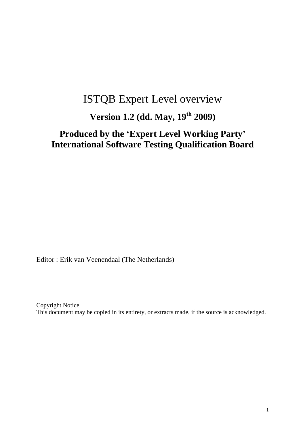# ISTQB Expert Level overview

# **Version 1.2 (dd. May, 19th 2009)**

# **Produced by the 'Expert Level Working Party' International Software Testing Qualification Board**

Editor : Erik van Veenendaal (The Netherlands)

Copyright Notice This document may be copied in its entirety, or extracts made, if the source is acknowledged.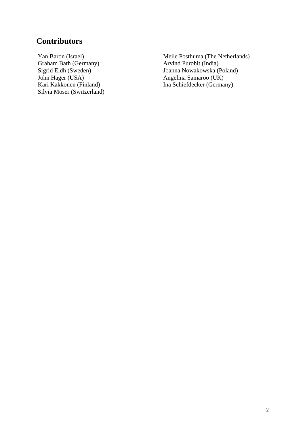#### **Contributors**

Yan Baron (Israel) Graham Bath (Germany) Sigrid Eldh (Sweden) John Hager (USA) Kari Kakkonen (Finland) Silvia Moser (Switzerland) Meile Posthuma (The Netherlands) Arvind Purohit (India) Joanna Nowakowska (Poland) Angelina Samaroo (UK) Ina Schiefdecker (Germany)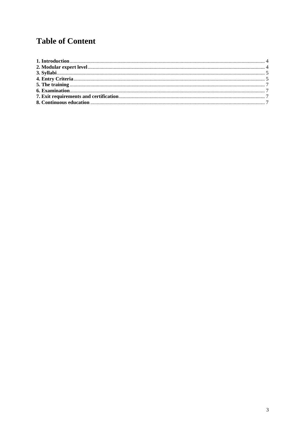# **Table of Content**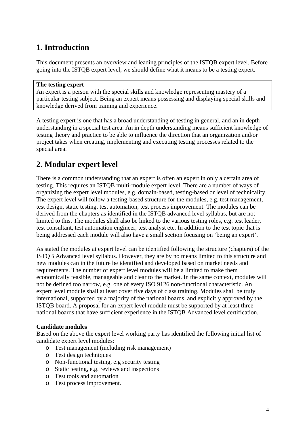# **1. Introduction**

This document presents an overview and leading principles of the ISTQB expert level. Before going into the ISTQB expert level, we should define what it means to be a testing expert.

#### **The testing expert**

An expert is a person with the special skills and knowledge representing mastery of a particular testing subject. Being an expert means possessing and displaying special skills and knowledge derived from training and experience.

A testing expert is one that has a broad understanding of testing in general, and an in depth understanding in a special test area. An in depth understanding means sufficient knowledge of testing theory and practice to be able to influence the direction that an organization and/or project takes when creating, implementing and executing testing processes related to the special area.

### **2. Modular expert level**

There is a common understanding that an expert is often an expert in only a certain area of testing. This requires an ISTQB multi-module expert level. There are a number of ways of organizing the expert level modules, e.g. domain-based, testing-based or level of technicality. The expert level will follow a testing-based structure for the modules, e.g. test management, test design, static testing, test automation, test process improvement. The modules can be derived from the chapters as identified in the ISTQB advanced level syllabus, but are not limited to this. The modules shall also be linked to the various testing roles, e.g. test leader, test consultant, test automation engineer, test analyst etc. In addition to the test topic that is being addressed each module will also have a small section focusing on 'being an expert'.

As stated the modules at expert level can be identified following the structure (chapters) of the ISTQB Advanced level syllabus. However, they are by no means limited to this structure and new modules can in the future be identified and developed based on market needs and requirements. The number of expert level modules will be a limited to make them economically feasible, manageable and clear to the market. In the same context, modules will not be defined too narrow, e.g. one of every ISO 9126 non-functional characteristic. An expert level module shall at least cover five days of class training. Modules shall be truly international, supported by a majority of the national boards, and explicitly approved by the ISTQB board. A proposal for an expert level module must be supported by at least three national boards that have sufficient experience in the ISTQB Advanced level certification.

#### **Candidate modules**

Based on the above the expert level working party has identified the following initial list of candidate expert level modules:

- o Test management (including risk management)
- o Test design techniques
- o Non-functional testing, e.g security testing
- o Static testing, e.g. reviews and inspections
- o Test tools and automation
- o Test process improvement.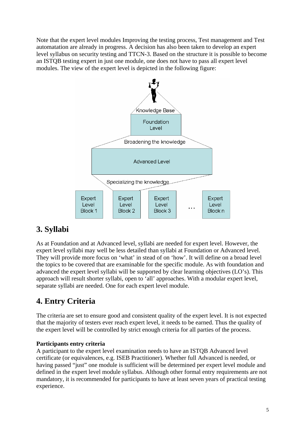Note that the expert level modules Improving the testing process, Test management and Test automatation are already in progress. A decision has also been taken to develop an expert level syllabus on security testing and TTCN-3. Based on the structure it is possible to become an ISTQB testing expert in just one module, one does not have to pass all expert level modules. The view of the expert level is depicted in the following figure:



### **3. Syllabi**

As at Foundation and at Advanced level, syllabi are needed for expert level. However, the expert level syllabi may well be less detailed than syllabi at Foundation or Advanced level. They will provide more focus on 'what' in stead of on 'how'. It will define on a broad level the topics to be covered that are examinable for the specific module. As with foundation and advanced the expert level syllabi will be supported by clear learning objectives (LO's). This approach will result shorter syllabi, open to 'all' approaches. With a modular expert level, separate syllabi are needed. One for each expert level module.

## **4. Entry Criteria**

The criteria are set to ensure good and consistent quality of the expert level. It is not expected that the majority of testers ever reach expert level, it needs to be earned. Thus the quality of the expert level will be controlled by strict enough criteria for all parties of the process.

#### **Participants entry criteria**

A participant to the expert level examination needs to have an ISTQB Advanced level certificate (or equivalences, e.g. ISEB Practitioner). Whether full Advanced is needed, or having passed "just" one module is sufficient will be determined per expert level module and defined in the expert level module syllabus. Although other formal entry requirements are not mandatory, it is recommended for participants to have at least seven years of practical testing experience.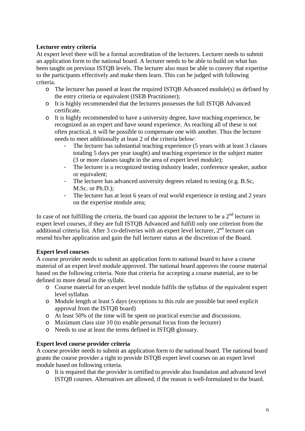#### **Lecturer entry criteria**

At expert level there will be a formal accreditation of the lecturers. Lecturer needs to submit an application form to the national board. A lecturer needs to be able to build on what has been taught on previous ISTQB levels. The lecturer also must be able to convey that expertise to the participants effectively and make them learn. This can be judged with following criteria.

- o The lecturer has passed at least the required ISTQB Advanced module(s) as defined by the entry criteria or equivalent (ISEB Practitioner);
- o It is highly recommended that the lecturers possesses the full ISTQB Advanced certificate.
- o It is highly recommended to have a university degree, have teaching experience, be recognized as an expert and have sound experience. As reaching all of these is not often practical, it will be possible to compensate one with another. Thus the lecturer needs to meet additionally at least 2 of the criteria below:
	- The lecturer has substantial teaching experience (5 years with at least 3 classes totaling 5 days per year taught) and teaching experience in the subject matter (3 or more classes taught in the area of expert level module);
	- The lecturer is a recognized testing industry leader, conference speaker, author or equivalent;
	- The lecturer has advanced university degrees related to testing (e.g. B.Sc, M.Sc. or Ph.D.);
	- The lecturer has at least 6 years of real world experience in testing and 2 years on the expertise module area;

In case of not fulfilling the criteria, the board can appoint the lecturer to be a  $2<sup>nd</sup>$  lecturer in expert level courses, if they are full ISTQB Advanced and fulfill only one criterion from the additional criteria list. After 3 co-deliveries with an expert level lecturer,  $2<sup>nd</sup>$  lecturer can resend his/her application and gain the full lecturer status at the discretion of the Board.

#### **Expert level courses**

A course provider needs to submit an application form to national board to have a course material of an expert level module approved. The national board approves the course material based on the following criteria. Note that criteria for accepting a course material, are to be defined in more detail in the syllabi.

- o Course material for an expert level module fulfils the syllabus of the equivalent expert level syllabus
- o Module length at least 5 days (exceptions to this rule are possible but need explicit approval from the ISTQB board)
- o At least 50% of the time will be spent on practical exercise and discussions.
- o Maximum class size 10 (to enable personal focus from the lecturer)
- o Needs to use at least the terms defined in ISTQB glossary.

#### **Expert level course provider criteria**

A course provider needs to submit an application form to the national board. The national board grants the course provider a right to provide ISTQB expert level courses on an expert level module based on following criteria.

o It is required that the provider is certified to provide also foundation and advanced level ISTQB courses. Alternatives are allowed, if the reason is well-formulated to the board.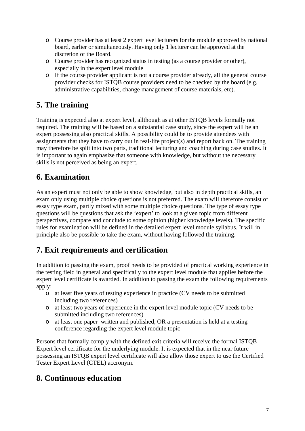- o Course provider has at least 2 expert level lecturers for the module approved by national board, earlier or simultaneously. Having only 1 lecturer can be approved at the discretion of the Board.
- o Course provider has recognized status in testing (as a course provider or other), especially in the expert level module
- o If the course provider applicant is not a course provider already, all the general course provider checks for ISTQB course providers need to be checked by the board (e.g. administrative capabilities, change management of course materials, etc).

### **5. The training**

Training is expected also at expert level, allthough as at other ISTQB levels formally not required. The training will be based on a substantial case study, since the expert will be an expert possessing also practical skills. A possibility could be to provide attendees with assignments that they have to carry out in real-life project(s) and report back on. The training may therefore be split into two parts, traditional lecturing and coaching during case studies. It is important to again emphasize that someone with knowledge, but without the necessary skills is not perceived as being an expert.

### **6. Examination**

As an expert must not only be able to show knowledge, but also in depth practical skills, an exam only using multiple choice questions is not preferred. The exam will therefore consist of essay type exam, partly mixed with some multiple choice questions. The type of essay type questions will be questions that ask the 'expert' to look at a given topic from different perspectives, compare and conclude to some opinion (higher knowledge levels). The specific rules for examination will be defined in the detailed expert level module syllabus. It will in principle also be possible to take the exam, without having followed the training.

## **7. Exit requirements and certification**

In addition to passing the exam, proof needs to be provided of practical working experience in the testing field in general and specifically to the expert level module that applies before the expert level certificate is awarded. In addition to passing the exam the following requirements apply:

- o at least five years of testing experience in practice (CV needs to be submitted including two references)
- o at least two years of experience in the expert level module topic (CV needs to be submitted including two references)
- o at least one paper written and published, OR a presentation is held at a testing conference regarding the expert level module topic

Persons that formally comply with the defined exit criteria will receive the formal ISTQB Expert level certificate for the underlying module. It is expected that in the near future possessing an ISTQB expert level certificate will also allow those expert to use the Certified Tester Expert Level (CTEL) accronym.

### **8. Continuous education**